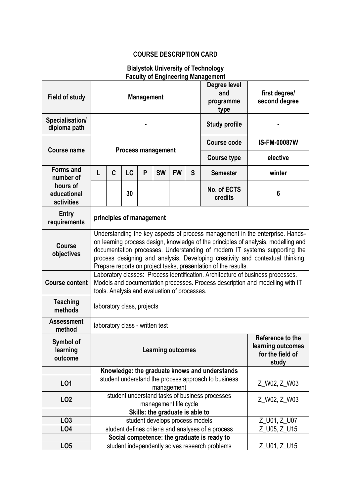## **COURSE DESCRIPTION CARD**

| <b>Bialystok University of Technology</b><br><b>Faculty of Engineering Management</b> |                                                                                                                                                                                                                                                                                                                                                                                                       |                                                |    |   |           |           |                                          |                                |                     |  |
|---------------------------------------------------------------------------------------|-------------------------------------------------------------------------------------------------------------------------------------------------------------------------------------------------------------------------------------------------------------------------------------------------------------------------------------------------------------------------------------------------------|------------------------------------------------|----|---|-----------|-----------|------------------------------------------|--------------------------------|---------------------|--|
| Field of study                                                                        | <b>Management</b>                                                                                                                                                                                                                                                                                                                                                                                     |                                                |    |   |           |           | Degree level<br>and<br>programme<br>type | first degree/<br>second degree |                     |  |
| Specialisation/<br>diploma path                                                       |                                                                                                                                                                                                                                                                                                                                                                                                       |                                                |    |   |           |           |                                          | <b>Study profile</b>           |                     |  |
| <b>Course name</b>                                                                    | <b>Process management</b>                                                                                                                                                                                                                                                                                                                                                                             |                                                |    |   |           |           |                                          | <b>Course code</b>             | <b>IS-FM-00087W</b> |  |
|                                                                                       |                                                                                                                                                                                                                                                                                                                                                                                                       |                                                |    |   |           |           |                                          | <b>Course type</b>             | elective            |  |
| <b>Forms and</b><br>number of                                                         | L                                                                                                                                                                                                                                                                                                                                                                                                     | C                                              | LC | P | <b>SW</b> | <b>FW</b> | S                                        | <b>Semester</b>                | winter              |  |
| hours of<br>educational<br>activities                                                 |                                                                                                                                                                                                                                                                                                                                                                                                       |                                                | 30 |   |           |           |                                          | No. of ECTS<br>credits         | $6\phantom{1}6$     |  |
| Entry<br>requirements                                                                 | principles of management                                                                                                                                                                                                                                                                                                                                                                              |                                                |    |   |           |           |                                          |                                |                     |  |
| Course<br>objectives                                                                  | Understanding the key aspects of process management in the enterprise. Hands-<br>on learning process design, knowledge of the principles of analysis, modelling and<br>documentation processes. Understanding of modern IT systems supporting the<br>process designing and analysis. Developing creativity and contextual thinking.<br>Prepare reports on project tasks, presentation of the results. |                                                |    |   |           |           |                                          |                                |                     |  |
| <b>Course content</b>                                                                 | Laboratory classes: Process identification. Architecture of business processes.<br>Models and documentation processes. Process description and modelling with IT<br>tools. Analysis and evaluation of processes.                                                                                                                                                                                      |                                                |    |   |           |           |                                          |                                |                     |  |
| <b>Teaching</b><br>methods                                                            | laboratory class, projects                                                                                                                                                                                                                                                                                                                                                                            |                                                |    |   |           |           |                                          |                                |                     |  |
| <b>Assessment</b><br>method                                                           | laboratory class - written test                                                                                                                                                                                                                                                                                                                                                                       |                                                |    |   |           |           |                                          |                                |                     |  |
| Symbol of<br>learning<br>outcome                                                      | Reference to the<br><b>Learning outcomes</b><br>for the field of<br>study                                                                                                                                                                                                                                                                                                                             |                                                |    |   |           |           |                                          | learning outcomes              |                     |  |
|                                                                                       | Knowledge: the graduate knows and understands                                                                                                                                                                                                                                                                                                                                                         |                                                |    |   |           |           |                                          |                                |                     |  |
| L <sub>01</sub>                                                                       | student understand the process approach to business<br>management                                                                                                                                                                                                                                                                                                                                     |                                                |    |   |           |           |                                          | Z_W02, Z_W03                   |                     |  |
| LO <sub>2</sub>                                                                       | student understand tasks of business processes<br>management life cycle                                                                                                                                                                                                                                                                                                                               |                                                |    |   |           |           | Z_W02, Z_W03                             |                                |                     |  |
| Skills: the graduate is able to                                                       |                                                                                                                                                                                                                                                                                                                                                                                                       |                                                |    |   |           |           |                                          |                                |                     |  |
| LO <sub>3</sub>                                                                       | student develops process models                                                                                                                                                                                                                                                                                                                                                                       |                                                |    |   |           |           |                                          | Z_U01, Z_U07                   |                     |  |
| LO <sub>4</sub>                                                                       | student defines criteria and analyses of a process                                                                                                                                                                                                                                                                                                                                                    |                                                |    |   |           |           |                                          | Z_U05, Z_U15                   |                     |  |
|                                                                                       | Social competence: the graduate is ready to                                                                                                                                                                                                                                                                                                                                                           |                                                |    |   |           |           |                                          |                                |                     |  |
| LO <sub>5</sub>                                                                       |                                                                                                                                                                                                                                                                                                                                                                                                       | student independently solves research problems |    |   |           |           | Z_U01, Z_U15                             |                                |                     |  |